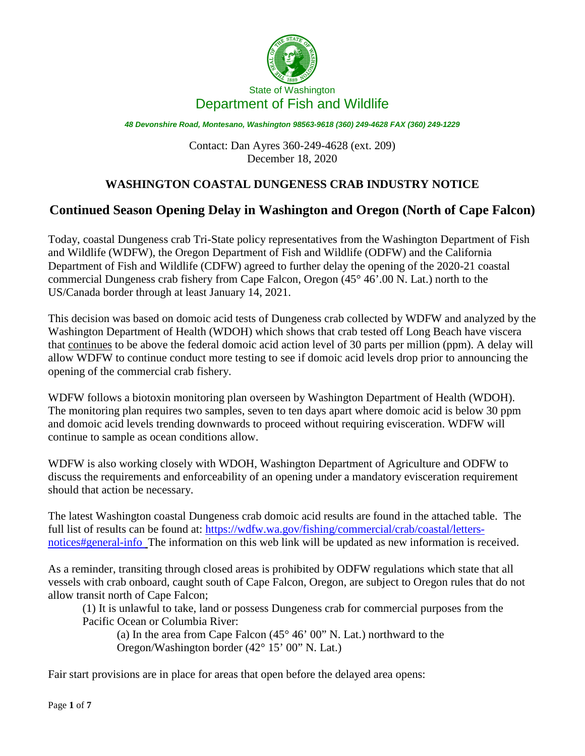

Contact: Dan Ayres 360-249-4628 (ext. 209) December 18, 2020

# **WASHINGTON COASTAL DUNGENESS CRAB INDUSTRY NOTICE**

# **Continued Season Opening Delay in Washington and Oregon (North of Cape Falcon)**

Today, coastal Dungeness crab Tri-State policy representatives from the Washington Department of Fish and Wildlife (WDFW), the Oregon Department of Fish and Wildlife (ODFW) and the California Department of Fish and Wildlife (CDFW) agreed to further delay the opening of the 2020-21 coastal commercial Dungeness crab fishery from Cape Falcon, Oregon (45° 46'.00 N. Lat.) north to the US/Canada border through at least January 14, 2021.

This decision was based on domoic acid tests of Dungeness crab collected by WDFW and analyzed by the Washington Department of Health (WDOH) which shows that crab tested off Long Beach have viscera that continues to be above the federal domoic acid action level of 30 parts per million (ppm). A delay will allow WDFW to continue conduct more testing to see if domoic acid levels drop prior to announcing the opening of the commercial crab fishery.

WDFW follows a biotoxin monitoring plan overseen by Washington Department of Health (WDOH). The monitoring plan requires two samples, seven to ten days apart where domoic acid is below 30 ppm and domoic acid levels trending downwards to proceed without requiring evisceration. WDFW will continue to sample as ocean conditions allow.

WDFW is also working closely with WDOH, Washington Department of Agriculture and ODFW to discuss the requirements and enforceability of an opening under a mandatory evisceration requirement should that action be necessary.

The latest Washington coastal Dungeness crab domoic acid results are found in the attached table. The full list of results can be found at: [https://wdfw.wa.gov/fishing/commercial/crab/coastal/letters](https://wdfw.wa.gov/fishing/commercial/crab/coastal/letters-notices#general-info)[notices#general-info](https://wdfw.wa.gov/fishing/commercial/crab/coastal/letters-notices#general-info) The information on this web link will be updated as new information is received.

As a reminder, transiting through closed areas is prohibited by ODFW regulations which state that all vessels with crab onboard, caught south of Cape Falcon, Oregon, are subject to Oregon rules that do not allow transit north of Cape Falcon;

(1) It is unlawful to take, land or possess Dungeness crab for commercial purposes from the Pacific Ocean or Columbia River:

(a) In the area from Cape Falcon (45° 46' 00" N. Lat.) northward to the Oregon/Washington border (42° 15' 00" N. Lat.)

Fair start provisions are in place for areas that open before the delayed area opens: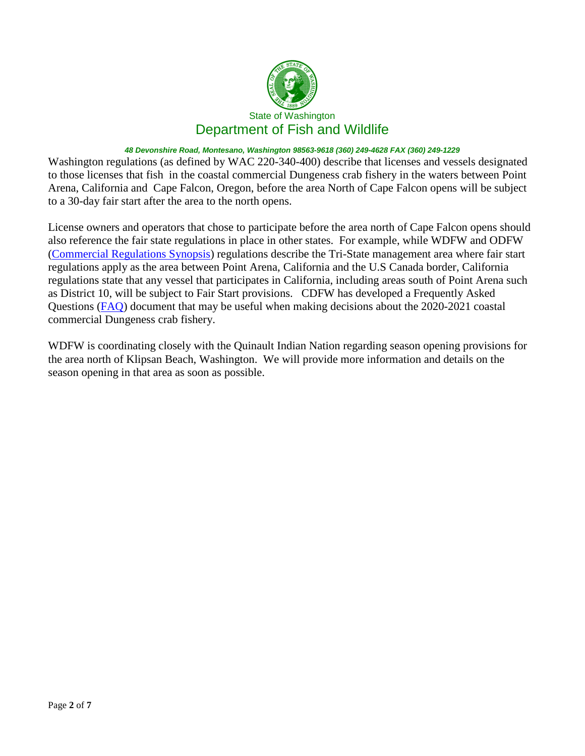

Washington regulations (as defined by WAC 220-340-400) describe that licenses and vessels designated to those licenses that fish in the coastal commercial Dungeness crab fishery in the waters between Point Arena, California and Cape Falcon, Oregon, before the area North of Cape Falcon opens will be subject to a 30-day fair start after the area to the north opens.

License owners and operators that chose to participate before the area north of Cape Falcon opens should also reference the fair state regulations in place in other states. For example, while WDFW and ODFW [\(Commercial Regulations Synopsis\)](https://www.dfw.state.or.us/fish/commercial/docs/2020_Commercial_Synopsis.pdf) regulations describe the Tri-State management area where fair start regulations apply as the area between Point Arena, California and the U.S Canada border, California regulations state that any vessel that participates in California, including areas south of Point Arena such as District 10, will be subject to Fair Start provisions. CDFW has developed a Frequently Asked Questions [\(FAQ\)](https://nrm.dfg.ca.gov/FileHandler.ashx?DocumentID=184262&inline) document that may be useful when making decisions about the 2020-2021 coastal commercial Dungeness crab fishery.

WDFW is coordinating closely with the Quinault Indian Nation regarding season opening provisions for the area north of Klipsan Beach, Washington. We will provide more information and details on the season opening in that area as soon as possible.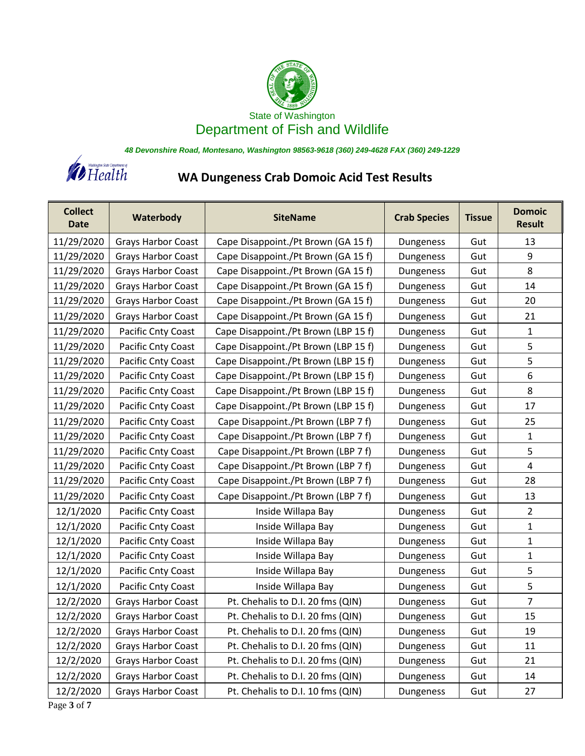



# **WA Dungeness Crab Domoic Acid Test Results**

| <b>Collect</b><br><b>Date</b> | Waterbody                 | <b>SiteName</b>                      | <b>Crab Species</b> | Tissue | <b>Domoic</b><br><b>Result</b> |
|-------------------------------|---------------------------|--------------------------------------|---------------------|--------|--------------------------------|
| 11/29/2020                    | <b>Grays Harbor Coast</b> | Cape Disappoint./Pt Brown (GA 15 f)  | Dungeness           | Gut    | 13                             |
| 11/29/2020                    | <b>Grays Harbor Coast</b> | Cape Disappoint./Pt Brown (GA 15 f)  | Dungeness           | Gut    | 9                              |
| 11/29/2020                    | <b>Grays Harbor Coast</b> | Cape Disappoint./Pt Brown (GA 15 f)  | Dungeness           | Gut    | 8                              |
| 11/29/2020                    | <b>Grays Harbor Coast</b> | Cape Disappoint./Pt Brown (GA 15 f)  | Dungeness           | Gut    | 14                             |
| 11/29/2020                    | <b>Grays Harbor Coast</b> | Cape Disappoint./Pt Brown (GA 15 f)  | Dungeness           | Gut    | 20                             |
| 11/29/2020                    | <b>Grays Harbor Coast</b> | Cape Disappoint./Pt Brown (GA 15 f)  | Dungeness           | Gut    | 21                             |
| 11/29/2020                    | Pacific Cnty Coast        | Cape Disappoint./Pt Brown (LBP 15 f) | Dungeness           | Gut    | 1                              |
| 11/29/2020                    | Pacific Cnty Coast        | Cape Disappoint./Pt Brown (LBP 15 f) | Dungeness           | Gut    | 5                              |
| 11/29/2020                    | Pacific Cnty Coast        | Cape Disappoint./Pt Brown (LBP 15 f) | Dungeness           | Gut    | 5                              |
| 11/29/2020                    | Pacific Cnty Coast        | Cape Disappoint./Pt Brown (LBP 15 f) | Dungeness           | Gut    | 6                              |
| 11/29/2020                    | Pacific Cnty Coast        | Cape Disappoint./Pt Brown (LBP 15 f) | Dungeness           | Gut    | 8                              |
| 11/29/2020                    | Pacific Cnty Coast        | Cape Disappoint./Pt Brown (LBP 15 f) | Dungeness           | Gut    | 17                             |
| 11/29/2020                    | Pacific Cnty Coast        | Cape Disappoint./Pt Brown (LBP 7 f)  | Dungeness           | Gut    | 25                             |
| 11/29/2020                    | Pacific Cnty Coast        | Cape Disappoint./Pt Brown (LBP 7 f)  | Dungeness           | Gut    | 1                              |
| 11/29/2020                    | Pacific Cnty Coast        | Cape Disappoint./Pt Brown (LBP 7 f)  | Dungeness           | Gut    | 5                              |
| 11/29/2020                    | Pacific Cnty Coast        | Cape Disappoint./Pt Brown (LBP 7 f)  | Dungeness           | Gut    | $\overline{4}$                 |
| 11/29/2020                    | Pacific Cnty Coast        | Cape Disappoint./Pt Brown (LBP 7 f)  | Dungeness           | Gut    | 28                             |
| 11/29/2020                    | Pacific Cnty Coast        | Cape Disappoint./Pt Brown (LBP 7 f)  | Dungeness           | Gut    | 13                             |
| 12/1/2020                     | Pacific Cnty Coast        | Inside Willapa Bay                   | Dungeness           | Gut    | $\overline{2}$                 |
| 12/1/2020                     | Pacific Cnty Coast        | Inside Willapa Bay                   | Dungeness           | Gut    | 1                              |
| 12/1/2020                     | Pacific Cnty Coast        | Inside Willapa Bay                   | Dungeness           | Gut    | 1                              |
| 12/1/2020                     | Pacific Cnty Coast        | Inside Willapa Bay                   | Dungeness           | Gut    | $\mathbf{1}$                   |
| 12/1/2020                     | Pacific Cnty Coast        | Inside Willapa Bay                   | Dungeness           | Gut    | 5                              |
| 12/1/2020                     | Pacific Cnty Coast        | Inside Willapa Bay                   | Dungeness           | Gut    | 5                              |
| 12/2/2020                     | <b>Grays Harbor Coast</b> | Pt. Chehalis to D.I. 20 fms (QIN)    | Dungeness           | Gut    | $\overline{7}$                 |
| 12/2/2020                     | <b>Grays Harbor Coast</b> | Pt. Chehalis to D.I. 20 fms (QIN)    | Dungeness           | Gut    | 15                             |
| 12/2/2020                     | <b>Grays Harbor Coast</b> | Pt. Chehalis to D.I. 20 fms (QIN)    | Dungeness           | Gut    | 19                             |
| 12/2/2020                     | Grays Harbor Coast        | Pt. Chehalis to D.I. 20 fms (QIN)    | Dungeness           | Gut    | 11                             |
| 12/2/2020                     | <b>Grays Harbor Coast</b> | Pt. Chehalis to D.I. 20 fms (QIN)    | Dungeness           | Gut    | 21                             |
| 12/2/2020                     | <b>Grays Harbor Coast</b> | Pt. Chehalis to D.I. 20 fms (QIN)    | Dungeness           | Gut    | 14                             |
| 12/2/2020                     | <b>Grays Harbor Coast</b> | Pt. Chehalis to D.I. 10 fms (QIN)    | Dungeness           | Gut    | 27                             |

Page **3** of **7**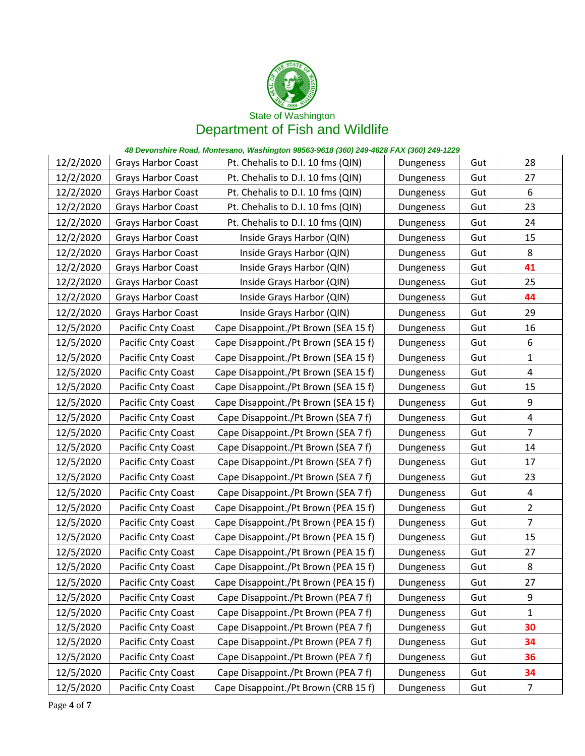

| 12/2/2020 | <b>Grays Harbor Coast</b> | Pt. Chehalis to D.I. 10 fms (QIN)    | Dungeness | Gut | 28             |
|-----------|---------------------------|--------------------------------------|-----------|-----|----------------|
| 12/2/2020 | <b>Grays Harbor Coast</b> | Pt. Chehalis to D.I. 10 fms (QIN)    | Dungeness | Gut | 27             |
| 12/2/2020 | <b>Grays Harbor Coast</b> | Pt. Chehalis to D.I. 10 fms (QIN)    | Dungeness | Gut | 6              |
| 12/2/2020 | <b>Grays Harbor Coast</b> | Pt. Chehalis to D.I. 10 fms (QIN)    | Dungeness | Gut | 23             |
| 12/2/2020 | <b>Grays Harbor Coast</b> | Pt. Chehalis to D.I. 10 fms (QIN)    | Dungeness | Gut | 24             |
| 12/2/2020 | <b>Grays Harbor Coast</b> | Inside Grays Harbor (QIN)            | Dungeness | Gut | 15             |
| 12/2/2020 | <b>Grays Harbor Coast</b> | Inside Grays Harbor (QIN)            | Dungeness | Gut | 8              |
| 12/2/2020 | <b>Grays Harbor Coast</b> | Inside Grays Harbor (QIN)            | Dungeness | Gut | 41             |
| 12/2/2020 | <b>Grays Harbor Coast</b> | Inside Grays Harbor (QIN)            | Dungeness | Gut | 25             |
| 12/2/2020 | <b>Grays Harbor Coast</b> | Inside Grays Harbor (QIN)            | Dungeness | Gut | 44             |
| 12/2/2020 | <b>Grays Harbor Coast</b> | Inside Grays Harbor (QIN)            | Dungeness | Gut | 29             |
| 12/5/2020 | Pacific Cnty Coast        | Cape Disappoint./Pt Brown (SEA 15 f) | Dungeness | Gut | 16             |
| 12/5/2020 | Pacific Cnty Coast        | Cape Disappoint./Pt Brown (SEA 15 f) | Dungeness | Gut | 6              |
| 12/5/2020 | Pacific Cnty Coast        | Cape Disappoint./Pt Brown (SEA 15 f) | Dungeness | Gut | 1              |
| 12/5/2020 | Pacific Cnty Coast        | Cape Disappoint./Pt Brown (SEA 15 f) | Dungeness | Gut | $\overline{a}$ |
| 12/5/2020 | Pacific Cnty Coast        | Cape Disappoint./Pt Brown (SEA 15 f) | Dungeness | Gut | 15             |
| 12/5/2020 | Pacific Cnty Coast        | Cape Disappoint./Pt Brown (SEA 15 f) | Dungeness | Gut | 9              |
| 12/5/2020 | Pacific Cnty Coast        | Cape Disappoint./Pt Brown (SEA 7 f)  | Dungeness | Gut | 4              |
| 12/5/2020 | Pacific Cnty Coast        | Cape Disappoint./Pt Brown (SEA 7 f)  | Dungeness | Gut | $\overline{7}$ |
| 12/5/2020 | Pacific Cnty Coast        | Cape Disappoint./Pt Brown (SEA 7 f)  | Dungeness | Gut | 14             |
| 12/5/2020 | Pacific Cnty Coast        | Cape Disappoint./Pt Brown (SEA 7 f)  | Dungeness | Gut | 17             |
| 12/5/2020 | Pacific Cnty Coast        | Cape Disappoint./Pt Brown (SEA 7 f)  | Dungeness | Gut | 23             |
| 12/5/2020 | Pacific Cnty Coast        | Cape Disappoint./Pt Brown (SEA 7 f)  | Dungeness | Gut | 4              |
| 12/5/2020 | Pacific Cnty Coast        | Cape Disappoint./Pt Brown (PEA 15 f) | Dungeness | Gut | $\overline{2}$ |
| 12/5/2020 | Pacific Cnty Coast        | Cape Disappoint./Pt Brown (PEA 15 f) | Dungeness | Gut | $\overline{7}$ |
| 12/5/2020 | Pacific Cnty Coast        | Cape Disappoint./Pt Brown (PEA 15 f) | Dungeness | Gut | 15             |
| 12/5/2020 | Pacific Cnty Coast        | Cape Disappoint./Pt Brown (PEA 15 f) | Dungeness | Gut | 27             |
| 12/5/2020 | Pacific Cnty Coast        | Cape Disappoint./Pt Brown (PEA 15 f) | Dungeness | Gut | 8              |
| 12/5/2020 | Pacific Cnty Coast        | Cape Disappoint./Pt Brown (PEA 15 f) | Dungeness | Gut | 27             |
| 12/5/2020 | Pacific Cnty Coast        | Cape Disappoint./Pt Brown (PEA 7 f)  | Dungeness | Gut | 9              |
| 12/5/2020 | Pacific Cnty Coast        | Cape Disappoint./Pt Brown (PEA 7 f)  | Dungeness | Gut | 1              |
| 12/5/2020 | Pacific Cnty Coast        | Cape Disappoint./Pt Brown (PEA 7 f)  | Dungeness | Gut | 30             |
| 12/5/2020 | Pacific Cnty Coast        | Cape Disappoint./Pt Brown (PEA 7 f)  | Dungeness | Gut | 34             |
| 12/5/2020 | Pacific Cnty Coast        | Cape Disappoint./Pt Brown (PEA 7 f)  | Dungeness | Gut | 36             |
| 12/5/2020 | Pacific Cnty Coast        | Cape Disappoint./Pt Brown (PEA 7 f)  | Dungeness | Gut | 34             |
| 12/5/2020 | Pacific Cnty Coast        | Cape Disappoint./Pt Brown (CRB 15 f) | Dungeness | Gut | 7              |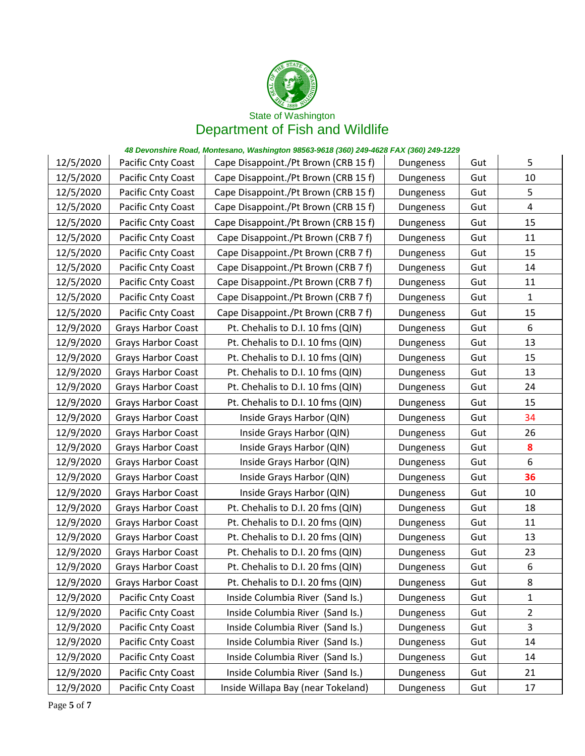

| 12/5/2020 | Pacific Cnty Coast        | Cape Disappoint./Pt Brown (CRB 15 f) | Dungeness | Gut | 5              |
|-----------|---------------------------|--------------------------------------|-----------|-----|----------------|
| 12/5/2020 | Pacific Cnty Coast        | Cape Disappoint./Pt Brown (CRB 15 f) | Dungeness | Gut | 10             |
| 12/5/2020 | Pacific Cnty Coast        | Cape Disappoint./Pt Brown (CRB 15 f) | Dungeness | Gut | 5              |
| 12/5/2020 | Pacific Cnty Coast        | Cape Disappoint./Pt Brown (CRB 15 f) | Dungeness | Gut | 4              |
| 12/5/2020 | Pacific Cnty Coast        | Cape Disappoint./Pt Brown (CRB 15 f) | Dungeness | Gut | 15             |
| 12/5/2020 | Pacific Cnty Coast        | Cape Disappoint./Pt Brown (CRB 7 f)  | Dungeness | Gut | 11             |
| 12/5/2020 | Pacific Cnty Coast        | Cape Disappoint./Pt Brown (CRB 7 f)  | Dungeness | Gut | 15             |
| 12/5/2020 | Pacific Cnty Coast        | Cape Disappoint./Pt Brown (CRB 7 f)  | Dungeness | Gut | 14             |
| 12/5/2020 | Pacific Cnty Coast        | Cape Disappoint./Pt Brown (CRB 7 f)  | Dungeness | Gut | 11             |
| 12/5/2020 | Pacific Cnty Coast        | Cape Disappoint./Pt Brown (CRB 7 f)  | Dungeness | Gut | $\mathbf{1}$   |
| 12/5/2020 | Pacific Cnty Coast        | Cape Disappoint./Pt Brown (CRB 7 f)  | Dungeness | Gut | 15             |
| 12/9/2020 | <b>Grays Harbor Coast</b> | Pt. Chehalis to D.I. 10 fms (QIN)    | Dungeness | Gut | 6              |
| 12/9/2020 | <b>Grays Harbor Coast</b> | Pt. Chehalis to D.I. 10 fms (QIN)    | Dungeness | Gut | 13             |
| 12/9/2020 | <b>Grays Harbor Coast</b> | Pt. Chehalis to D.I. 10 fms (QIN)    | Dungeness | Gut | 15             |
| 12/9/2020 | <b>Grays Harbor Coast</b> | Pt. Chehalis to D.I. 10 fms (QIN)    | Dungeness | Gut | 13             |
| 12/9/2020 | <b>Grays Harbor Coast</b> | Pt. Chehalis to D.I. 10 fms (QIN)    | Dungeness | Gut | 24             |
| 12/9/2020 | <b>Grays Harbor Coast</b> | Pt. Chehalis to D.I. 10 fms (QIN)    | Dungeness | Gut | 15             |
| 12/9/2020 | <b>Grays Harbor Coast</b> | Inside Grays Harbor (QIN)            | Dungeness | Gut | 34             |
| 12/9/2020 | <b>Grays Harbor Coast</b> | Inside Grays Harbor (QIN)            | Dungeness | Gut | 26             |
| 12/9/2020 | <b>Grays Harbor Coast</b> | Inside Grays Harbor (QIN)            | Dungeness | Gut | 8              |
| 12/9/2020 | <b>Grays Harbor Coast</b> | Inside Grays Harbor (QIN)            | Dungeness | Gut | 6              |
| 12/9/2020 | Grays Harbor Coast        | Inside Grays Harbor (QIN)            | Dungeness | Gut | 36             |
| 12/9/2020 | <b>Grays Harbor Coast</b> | Inside Grays Harbor (QIN)            | Dungeness | Gut | 10             |
| 12/9/2020 | <b>Grays Harbor Coast</b> | Pt. Chehalis to D.I. 20 fms (QIN)    | Dungeness | Gut | 18             |
| 12/9/2020 | <b>Grays Harbor Coast</b> | Pt. Chehalis to D.I. 20 fms (QIN)    | Dungeness | Gut | 11             |
| 12/9/2020 | <b>Grays Harbor Coast</b> | Pt. Chehalis to D.I. 20 fms (QIN)    | Dungeness | Gut | 13             |
| 12/9/2020 | <b>Grays Harbor Coast</b> | Pt. Chehalis to D.I. 20 fms (QIN)    | Dungeness | Gut | 23             |
| 12/9/2020 | <b>Grays Harbor Coast</b> | Pt. Chehalis to D.I. 20 fms (QIN)    | Dungeness | Gut | 6              |
| 12/9/2020 | <b>Grays Harbor Coast</b> | Pt. Chehalis to D.I. 20 fms (QIN)    | Dungeness | Gut | 8              |
| 12/9/2020 | Pacific Cnty Coast        | Inside Columbia River (Sand Is.)     | Dungeness | Gut | 1              |
| 12/9/2020 | Pacific Cnty Coast        | Inside Columbia River (Sand Is.)     | Dungeness | Gut | $\overline{2}$ |
| 12/9/2020 | Pacific Cnty Coast        | Inside Columbia River (Sand Is.)     | Dungeness | Gut | 3              |
| 12/9/2020 | Pacific Cnty Coast        | Inside Columbia River (Sand Is.)     | Dungeness | Gut | 14             |
| 12/9/2020 | Pacific Cnty Coast        | Inside Columbia River (Sand Is.)     | Dungeness | Gut | 14             |
| 12/9/2020 | Pacific Cnty Coast        | Inside Columbia River (Sand Is.)     | Dungeness | Gut | 21             |
| 12/9/2020 | Pacific Cnty Coast        | Inside Willapa Bay (near Tokeland)   | Dungeness | Gut | 17             |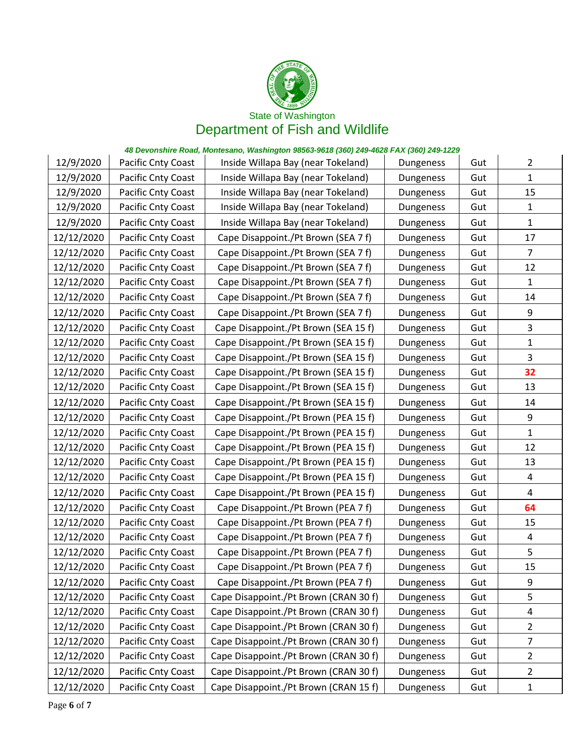

| 12/9/2020  | Pacific Cnty Coast | Inside Willapa Bay (near Tokeland)    | Dungeness | Gut | $\overline{2}$ |
|------------|--------------------|---------------------------------------|-----------|-----|----------------|
| 12/9/2020  | Pacific Cnty Coast | Inside Willapa Bay (near Tokeland)    | Dungeness | Gut | 1              |
| 12/9/2020  | Pacific Cnty Coast | Inside Willapa Bay (near Tokeland)    | Dungeness | Gut | 15             |
| 12/9/2020  | Pacific Cnty Coast | Inside Willapa Bay (near Tokeland)    | Dungeness | Gut | 1              |
| 12/9/2020  | Pacific Cnty Coast | Inside Willapa Bay (near Tokeland)    | Dungeness | Gut | $\mathbf{1}$   |
| 12/12/2020 | Pacific Cnty Coast | Cape Disappoint./Pt Brown (SEA 7 f)   | Dungeness | Gut | 17             |
| 12/12/2020 | Pacific Cnty Coast | Cape Disappoint./Pt Brown (SEA 7 f)   | Dungeness | Gut | 7              |
| 12/12/2020 | Pacific Cnty Coast | Cape Disappoint./Pt Brown (SEA 7 f)   | Dungeness | Gut | 12             |
| 12/12/2020 | Pacific Cnty Coast | Cape Disappoint./Pt Brown (SEA 7 f)   | Dungeness | Gut | $\mathbf{1}$   |
| 12/12/2020 | Pacific Cnty Coast | Cape Disappoint./Pt Brown (SEA 7 f)   | Dungeness | Gut | 14             |
| 12/12/2020 | Pacific Cnty Coast | Cape Disappoint./Pt Brown (SEA 7 f)   | Dungeness | Gut | 9              |
| 12/12/2020 | Pacific Cnty Coast | Cape Disappoint./Pt Brown (SEA 15 f)  | Dungeness | Gut | 3              |
| 12/12/2020 | Pacific Cnty Coast | Cape Disappoint./Pt Brown (SEA 15 f)  | Dungeness | Gut | $\mathbf{1}$   |
| 12/12/2020 | Pacific Cnty Coast | Cape Disappoint./Pt Brown (SEA 15 f)  | Dungeness | Gut | 3              |
| 12/12/2020 | Pacific Cnty Coast | Cape Disappoint./Pt Brown (SEA 15 f)  | Dungeness | Gut | 32             |
| 12/12/2020 | Pacific Cnty Coast | Cape Disappoint./Pt Brown (SEA 15 f)  | Dungeness | Gut | 13             |
| 12/12/2020 | Pacific Cnty Coast | Cape Disappoint./Pt Brown (SEA 15 f)  | Dungeness | Gut | 14             |
| 12/12/2020 | Pacific Cnty Coast | Cape Disappoint./Pt Brown (PEA 15 f)  | Dungeness | Gut | 9              |
| 12/12/2020 | Pacific Cnty Coast | Cape Disappoint./Pt Brown (PEA 15 f)  | Dungeness | Gut | 1              |
| 12/12/2020 | Pacific Cnty Coast | Cape Disappoint./Pt Brown (PEA 15 f)  | Dungeness | Gut | 12             |
| 12/12/2020 | Pacific Cnty Coast | Cape Disappoint./Pt Brown (PEA 15 f)  | Dungeness | Gut | 13             |
| 12/12/2020 | Pacific Cnty Coast | Cape Disappoint./Pt Brown (PEA 15 f)  | Dungeness | Gut | $\overline{a}$ |
| 12/12/2020 | Pacific Cnty Coast | Cape Disappoint./Pt Brown (PEA 15 f)  | Dungeness | Gut | 4              |
| 12/12/2020 | Pacific Cnty Coast | Cape Disappoint./Pt Brown (PEA 7 f)   | Dungeness | Gut | 64             |
| 12/12/2020 | Pacific Cnty Coast | Cape Disappoint./Pt Brown (PEA 7 f)   | Dungeness | Gut | 15             |
| 12/12/2020 | Pacific Cnty Coast | Cape Disappoint./Pt Brown (PEA 7 f)   | Dungeness | Gut | $\overline{a}$ |
| 12/12/2020 | Pacific Cnty Coast | Cape Disappoint./Pt Brown (PEA 7 f)   | Dungeness | Gut | 5              |
| 12/12/2020 | Pacific Cnty Coast | Cape Disappoint./Pt Brown (PEA 7 f)   | Dungeness | Gut | 15             |
| 12/12/2020 | Pacific Cnty Coast | Cape Disappoint./Pt Brown (PEA 7 f)   | Dungeness | Gut | 9              |
| 12/12/2020 | Pacific Cnty Coast | Cape Disappoint./Pt Brown (CRAN 30 f) | Dungeness | Gut | 5              |
| 12/12/2020 | Pacific Cnty Coast | Cape Disappoint./Pt Brown (CRAN 30 f) | Dungeness | Gut | 4              |
| 12/12/2020 | Pacific Cnty Coast | Cape Disappoint./Pt Brown (CRAN 30 f) | Dungeness | Gut | $\overline{2}$ |
| 12/12/2020 | Pacific Cnty Coast | Cape Disappoint./Pt Brown (CRAN 30 f) | Dungeness | Gut | 7              |
| 12/12/2020 | Pacific Cnty Coast | Cape Disappoint./Pt Brown (CRAN 30 f) | Dungeness | Gut | 2              |
| 12/12/2020 | Pacific Cnty Coast | Cape Disappoint./Pt Brown (CRAN 30 f) | Dungeness | Gut | $\overline{2}$ |
| 12/12/2020 | Pacific Cnty Coast | Cape Disappoint./Pt Brown (CRAN 15 f) | Dungeness | Gut | $\mathbf{1}$   |